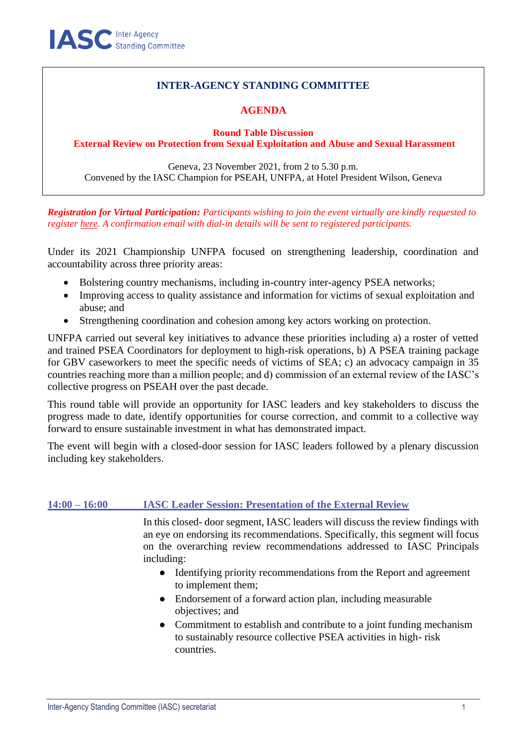## **INTER-AGENCY STANDING COMMITTEE**

## **AGENDA**

**Round Table Discussion External Review on Protection from Sexual Exploitation and Abuse and Sexual Harassment**

Geneva, 23 November 2021, from 2 to 5.30 p.m. Convened by the IASC Champion for PSEAH, UNFPA, at Hotel President Wilson, Geneva

*Registration for Virtual Participation: Participants wishing to join the event virtually are kindly requested to register [here.](https://unfpa.zoom.us/meeting/register/tZ0lfuqrrTIiG9dDeyh1WMMqOcYid22QyPwI) A confirmation email with dial-in details will be sent to registered participants.*

Under its 2021 Championship UNFPA focused on strengthening leadership, coordination and accountability across three priority areas:

- Bolstering country mechanisms, including in-country inter-agency PSEA networks;
- Improving access to quality assistance and information for victims of sexual exploitation and abuse; and
- Strengthening coordination and cohesion among key actors working on protection.

UNFPA carried out several key initiatives to advance these priorities including a) a roster of vetted and trained PSEA Coordinators for deployment to high-risk operations, b) A PSEA training package for GBV caseworkers to meet the specific needs of victims of SEA; c) an advocacy campaign in 35 countries reaching more than a million people; and d) commission of an external review of the IASC's collective progress on PSEAH over the past decade.

This round table will provide an opportunity for IASC leaders and key stakeholders to discuss the progress made to date, identify opportunities for course correction, and commit to a collective way forward to ensure sustainable investment in what has demonstrated impact.

The event will begin with a closed-door session for IASC leaders followed by a plenary discussion including key stakeholders.

## **14:00 – 16:00 IASC Leader Session: Presentation of the External Review**

In this closed- door segment, IASC leaders will discuss the review findings with an eye on endorsing its recommendations. Specifically, this segment will focus on the overarching review recommendations addressed to IASC Principals including:

- Identifying priority recommendations from the Report and agreement to implement them;
- Endorsement of a forward action plan, including measurable objectives; and
- Commitment to establish and contribute to a joint funding mechanism to sustainably resource collective PSEA activities in high- risk countries.